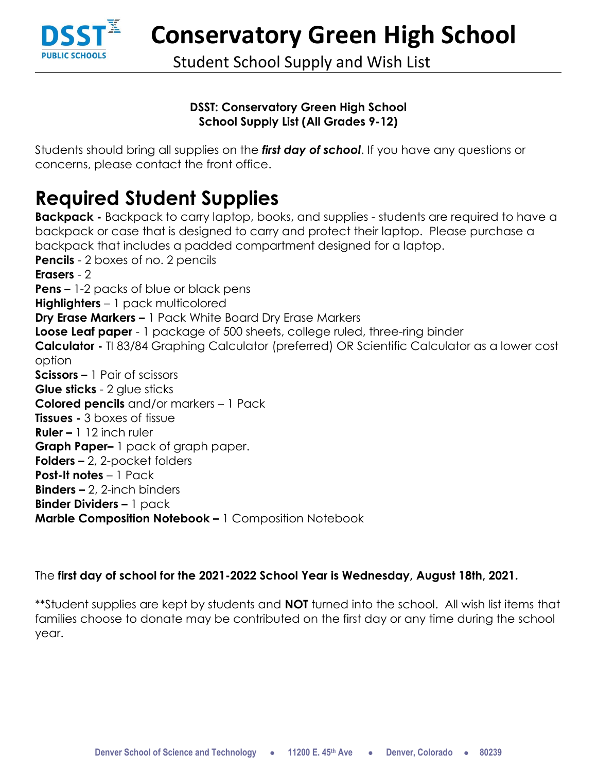

Student School Supply and Wish List

#### **DSST: Conservatory Green High School School Supply List (All Grades 9-12)**

Students should bring all supplies on the *first day of school*. If you have any questions or concerns, please contact the front office.

### **Required Student Supplies**

**Backpack -** Backpack to carry laptop, books, and supplies - students are required to have a backpack or case that is designed to carry and protect their laptop. Please purchase a backpack that includes a padded compartment designed for a laptop. **Pencils** - 2 boxes of no. 2 pencils **Erasers** - 2 **Pens** – 1-2 packs of blue or black pens **Highlighters** – 1 pack multicolored **Dry Erase Markers –** 1 Pack White Board Dry Erase Markers **Loose Leaf paper** - 1 package of 500 sheets, college ruled, three-ring binder **Calculator -** TI 83/84 Graphing Calculator (preferred) OR Scientific Calculator as a lower cost option **Scissors –** 1 Pair of scissors **Glue sticks** - 2 glue sticks **Colored pencils** and/or markers – 1 Pack **Tissues -** 3 boxes of tissue **Ruler –** 1 12 inch ruler **Graph Paper–** 1 pack of graph paper. **Folders –** 2, 2-pocket folders **Post-It notes** – 1 Pack **Binders –** 2, 2-inch binders **Binder Dividers –** 1 pack **Marble Composition Notebook –** 1 Composition Notebook

The **first day of school for the 2021-2022 School Year is Wednesday, August 18th, 2021.**

\*\*Student supplies are kept by students and **NOT** turned into the school. All wish list items that families choose to donate may be contributed on the first day or any time during the school year.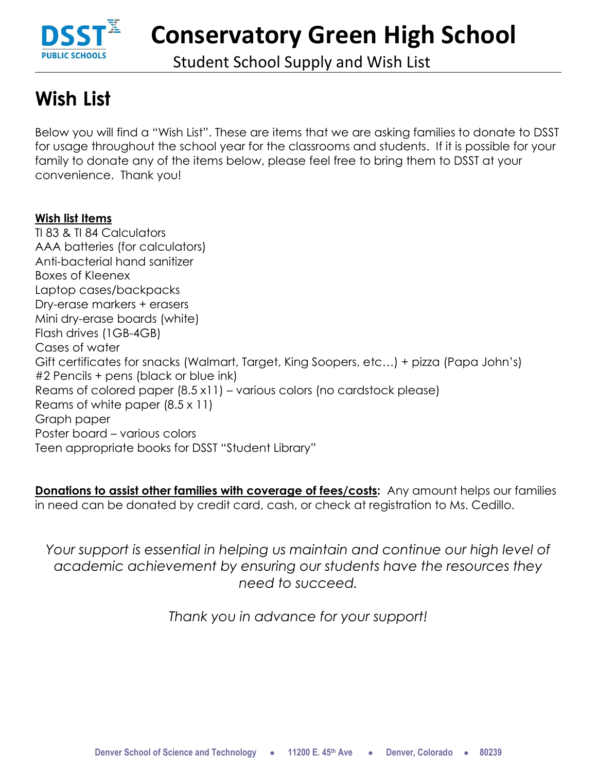

Student School Supply and Wish List

## **Wish List**

Below you will find a "Wish List". These are items that we are asking families to donate to DSST for usage throughout the school year for the classrooms and students. If it is possible for your family to donate any of the items below, please feel free to bring them to DSST at your convenience. Thank you!

#### **Wish list Items**

TI 83 & TI 84 Calculators AAA batteries (for calculators) Anti-bacterial hand sanitizer Boxes of Kleenex Laptop cases/backpacks Dry-erase markers + erasers Mini dry-erase boards (white) Flash drives (1GB-4GB) Cases of water Gift certificates for snacks (Walmart, Target, King Soopers, etc…) + pizza (Papa John's) #2 Pencils + pens (black or blue ink) Reams of colored paper (8.5 x11) – various colors (no cardstock please) Reams of white paper (8.5 x 11) Graph paper Poster board – various colors Teen appropriate books for DSST "Student Library"

**Donations to assist other families with coverage of fees/costs:** Any amount helps our families in need can be donated by credit card, cash, or check at registration to Ms. Cedillo.

Your support is essential in helping us maintain and continue our high level of *academic achievement by ensuring our students have the resources they need to succeed.*

*Thank you in advance for your support!*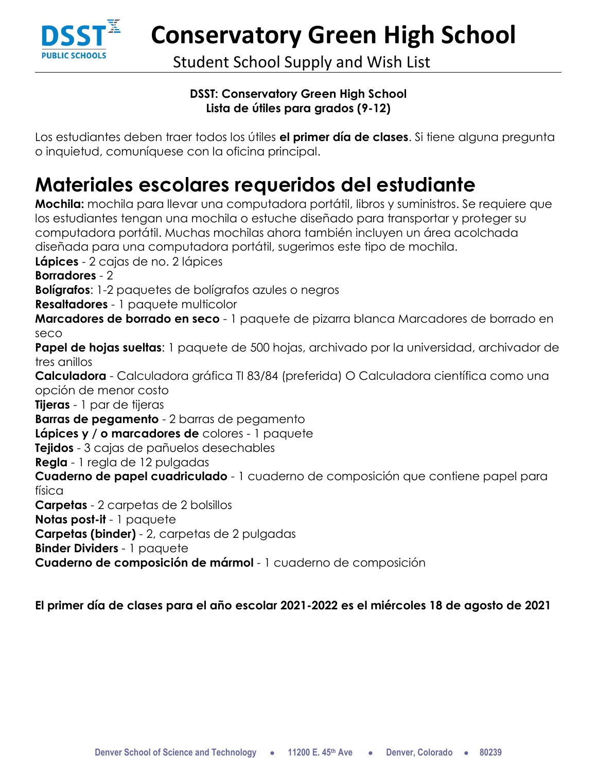

Student School Supply and Wish List

#### **DSST: Conservatory Green High School Lista de útiles para grados (9-12)**

Los estudiantes deben traer todos los útiles **el primer día de clases**. Si tiene alguna pregunta o inquietud, comuníquese con la oficina principal.

## **Materiales escolares requeridos del estudiante**

**Mochila:** mochila para llevar una computadora portátil, libros y suministros. Se requiere que los estudiantes tengan una mochila o estuche diseñado para transportar y proteger su computadora portátil. Muchas mochilas ahora también incluyen un área acolchada diseñada para una computadora portátil, sugerimos este tipo de mochila. **Lápices** - 2 cajas de no. 2 lápices **Borradores** - 2 **Bolígrafos**: 1-2 paquetes de bolígrafos azules o negros **Resaltadores** - 1 paquete multicolor **Marcadores de borrado en seco** - 1 paquete de pizarra blanca Marcadores de borrado en seco **Papel de hojas sueltas**: 1 paquete de 500 hojas, archivado por la universidad, archivador de tres anillos **Calculadora** - Calculadora gráfica TI 83/84 (preferida) O Calculadora científica como una opción de menor costo **Tijeras** - 1 par de tijeras **Barras de pegamento** - 2 barras de pegamento **Lápices y / o marcadores de** colores - 1 paquete **Tejidos** - 3 cajas de pañuelos desechables **Regla** - 1 regla de 12 pulgadas **Cuaderno de papel cuadriculado** - 1 cuaderno de composición que contiene papel para física **Carpetas** - 2 carpetas de 2 bolsillos **Notas post-it** - 1 paquete **Carpetas (binder)** - 2, carpetas de 2 pulgadas **Binder Dividers** - 1 paquete **Cuaderno de composición de mármol** - 1 cuaderno de composición

**El primer día de clases para el año escolar 2021-2022 es el miércoles 18 de agosto de 2021**